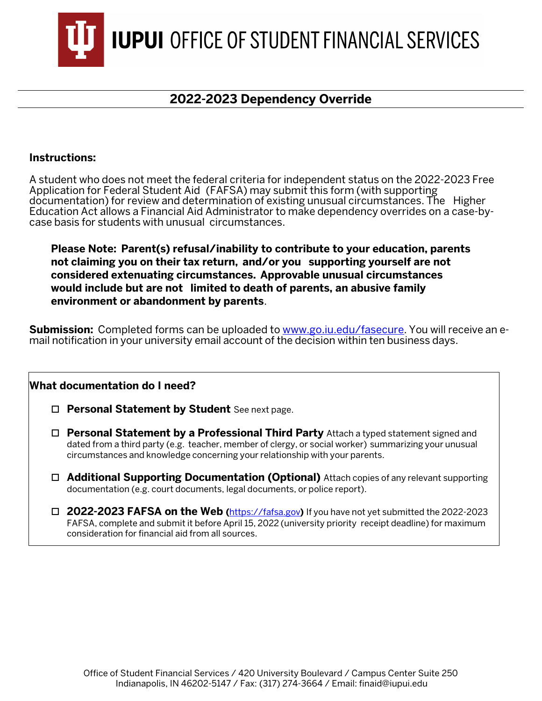

## **2022-2023 Dependency Override**

## **Instructions:**

A student who does not meet the federal criteria for independent status on the 2022-2023 Free Application for Federal Student Aid (FAFSA) may submit this form (with supporting documentation) for review and determination of existing unusual circumstances. The Higher Education Act allows a Financial Aid Administrator to make dependency overrides on a case-bycase basis for students with unusual circumstances.

**Please Note: Parent(s) refusal/inability to contribute to your education, parents not claiming you on their tax return, and/or you supporting yourself are not considered extenuating circumstances. Approvable unusual circumstances would include but are not limited to death of parents, an abusive family environment or abandonment by parents**.

**Submission:** Completed forms can be uploaded to [www.go.iu.edu/fasecure.](http://www.go.iu.edu/fasecure) You will receive an email notification in your university email account of the decision within ten business days.

## **What documentation do I need?**

- **Personal Statement by Student** See next page.
- **Personal Statement by a Professional Third Party** Attach a typed statement signed and dated from a third party (e.g. teacher, member of clergy, or social worker) summarizing your unusual circumstances and knowledge concerning your relationship with your parents.
- **Additional Supporting Documentation (Optional)** Attach copies of any relevant supporting documentation (e.g. court documents, legal documents, or police report).
- **2022-2023 FAFSA on the Web (**[https://fafsa.gov](http://www.fafsa.gov/)**)** If you have not yet submitted the 2022-2023 FAFSA, complete and submit it before April 15, 2022 (university priority receipt deadline) for maximum consideration for financial aid from all sources.